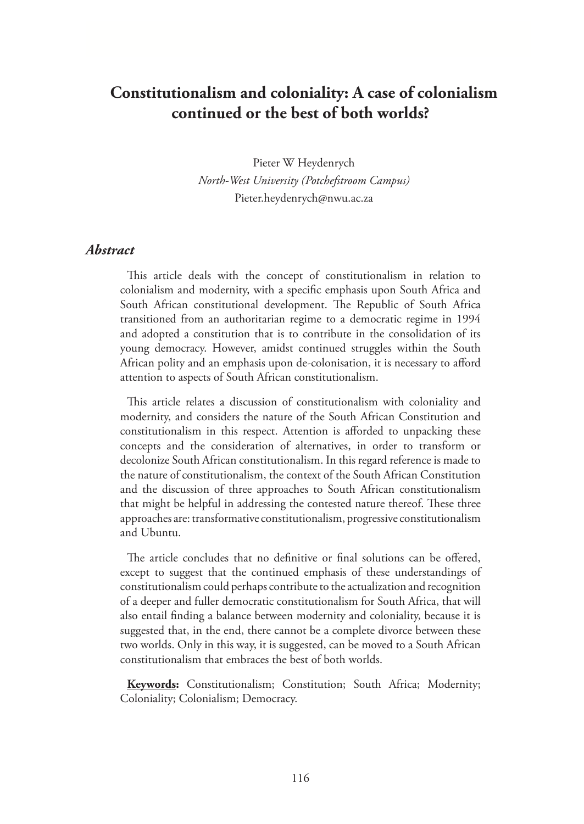# **Constitutionalism and coloniality: A case of colonialism continued or the best of both worlds?**

Pieter W Heydenrych *North-West University (Potchefstroom Campus)*  Pieter.heydenrych@nwu.ac.za

#### *Abstract*

This article deals with the concept of constitutionalism in relation to colonialism and modernity, with a specific emphasis upon South Africa and South African constitutional development. The Republic of South Africa transitioned from an authoritarian regime to a democratic regime in 1994 and adopted a constitution that is to contribute in the consolidation of its young democracy. However, amidst continued struggles within the South African polity and an emphasis upon de-colonisation, it is necessary to afford attention to aspects of South African constitutionalism.

This article relates a discussion of constitutionalism with coloniality and modernity, and considers the nature of the South African Constitution and constitutionalism in this respect. Attention is afforded to unpacking these concepts and the consideration of alternatives, in order to transform or decolonize South African constitutionalism. In this regard reference is made to the nature of constitutionalism, the context of the South African Constitution and the discussion of three approaches to South African constitutionalism that might be helpful in addressing the contested nature thereof. These three approaches are: transformative constitutionalism, progressive constitutionalism and Ubuntu.

The article concludes that no definitive or final solutions can be offered, except to suggest that the continued emphasis of these understandings of constitutionalism could perhaps contribute to the actualization and recognition of a deeper and fuller democratic constitutionalism for South Africa, that will also entail finding a balance between modernity and coloniality, because it is suggested that, in the end, there cannot be a complete divorce between these two worlds. Only in this way, it is suggested, can be moved to a South African constitutionalism that embraces the best of both worlds.

**Keywords:** Constitutionalism; Constitution; South Africa; Modernity; Coloniality; Colonialism; Democracy.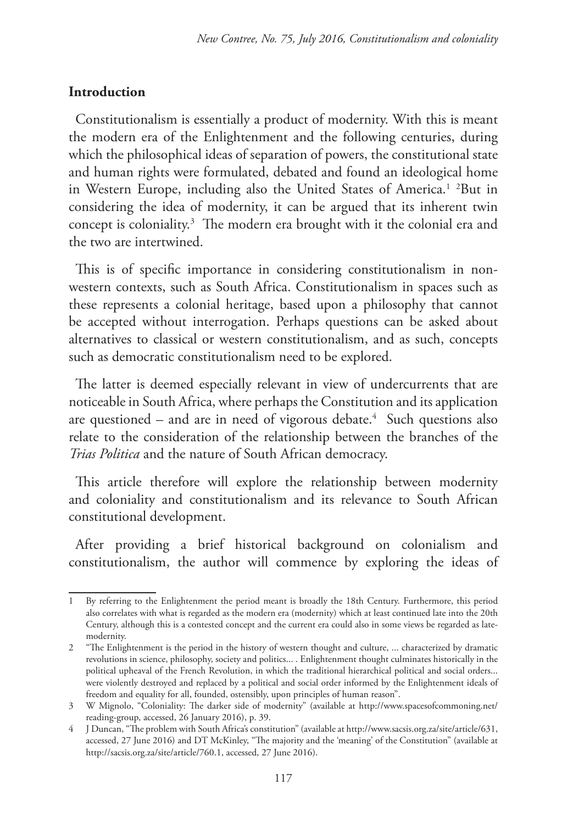### **Introduction**

Constitutionalism is essentially a product of modernity. With this is meant the modern era of the Enlightenment and the following centuries, during which the philosophical ideas of separation of powers, the constitutional state and human rights were formulated, debated and found an ideological home in Western Europe, including also the United States of America.<sup>1</sup> <sup>2</sup>But in considering the idea of modernity, it can be argued that its inherent twin concept is coloniality.3 The modern era brought with it the colonial era and the two are intertwined.

This is of specific importance in considering constitutionalism in nonwestern contexts, such as South Africa. Constitutionalism in spaces such as these represents a colonial heritage, based upon a philosophy that cannot be accepted without interrogation. Perhaps questions can be asked about alternatives to classical or western constitutionalism, and as such, concepts such as democratic constitutionalism need to be explored.

The latter is deemed especially relevant in view of undercurrents that are noticeable in South Africa, where perhaps the Constitution and its application are questioned – and are in need of vigorous debate.<sup>4</sup> Such questions also relate to the consideration of the relationship between the branches of the *Trias Politica* and the nature of South African democracy.

This article therefore will explore the relationship between modernity and coloniality and constitutionalism and its relevance to South African constitutional development.

After providing a brief historical background on colonialism and constitutionalism, the author will commence by exploring the ideas of

<sup>1</sup> By referring to the Enlightenment the period meant is broadly the 18th Century. Furthermore, this period also correlates with what is regarded as the modern era (modernity) which at least continued late into the 20th Century, although this is a contested concept and the current era could also in some views be regarded as latemodernity.

<sup>2</sup> "The Enlightenment is the period in the history of western thought and culture, ... characterized by dramatic revolutions in science, philosophy, society and politics... . Enlightenment thought culminates historically in the political upheaval of the French Revolution, in which the traditional hierarchical political and social orders... were violently destroyed and replaced by a political and social order informed by the Enlightenment ideals of freedom and equality for all, founded, ostensibly, upon principles of human reason".

<sup>3</sup> W Mignolo, "Coloniality: The darker side of modernity" (available at http://www.spacesofcommoning.net/ reading-group, accessed, 26 January 2016), p. 39.

<sup>4</sup> J Duncan, "The problem with South Africa's constitution" (available at http://www.sacsis.org.za/site/article/631, accessed, 27 June 2016) and DT McKinley, "The majority and the 'meaning' of the Constitution" (available at http://sacsis.org.za/site/article/760.1, accessed, 27 June 2016).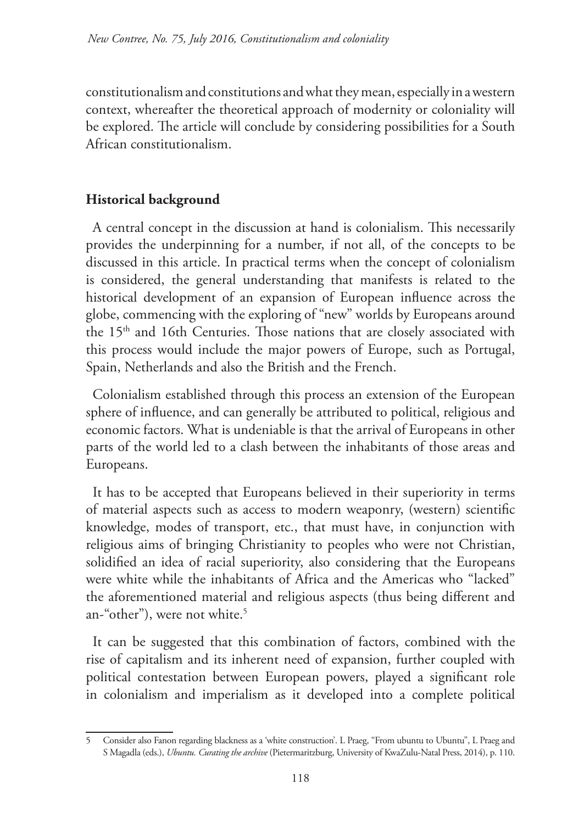constitutionalism and constitutions and what they mean, especially in a western context, whereafter the theoretical approach of modernity or coloniality will be explored. The article will conclude by considering possibilities for a South African constitutionalism.

## **Historical background**

A central concept in the discussion at hand is colonialism. This necessarily provides the underpinning for a number, if not all, of the concepts to be discussed in this article. In practical terms when the concept of colonialism is considered, the general understanding that manifests is related to the historical development of an expansion of European influence across the globe, commencing with the exploring of "new" worlds by Europeans around the 15<sup>th</sup> and 16th Centuries. Those nations that are closely associated with this process would include the major powers of Europe, such as Portugal, Spain, Netherlands and also the British and the French.

Colonialism established through this process an extension of the European sphere of influence, and can generally be attributed to political, religious and economic factors. What is undeniable is that the arrival of Europeans in other parts of the world led to a clash between the inhabitants of those areas and Europeans.

It has to be accepted that Europeans believed in their superiority in terms of material aspects such as access to modern weaponry, (western) scientific knowledge, modes of transport, etc., that must have, in conjunction with religious aims of bringing Christianity to peoples who were not Christian, solidified an idea of racial superiority, also considering that the Europeans were white while the inhabitants of Africa and the Americas who "lacked" the aforementioned material and religious aspects (thus being different and an-"other"), were not white.<sup>5</sup>

It can be suggested that this combination of factors, combined with the rise of capitalism and its inherent need of expansion, further coupled with political contestation between European powers, played a significant role in colonialism and imperialism as it developed into a complete political

<sup>5</sup> Consider also Fanon regarding blackness as a 'white construction'. L Praeg, "From ubuntu to Ubuntu", L Praeg and S Magadla (eds.), *Ubuntu. Curating the archive* (Pietermaritzburg, University of KwaZulu-Natal Press, 2014), p. 110.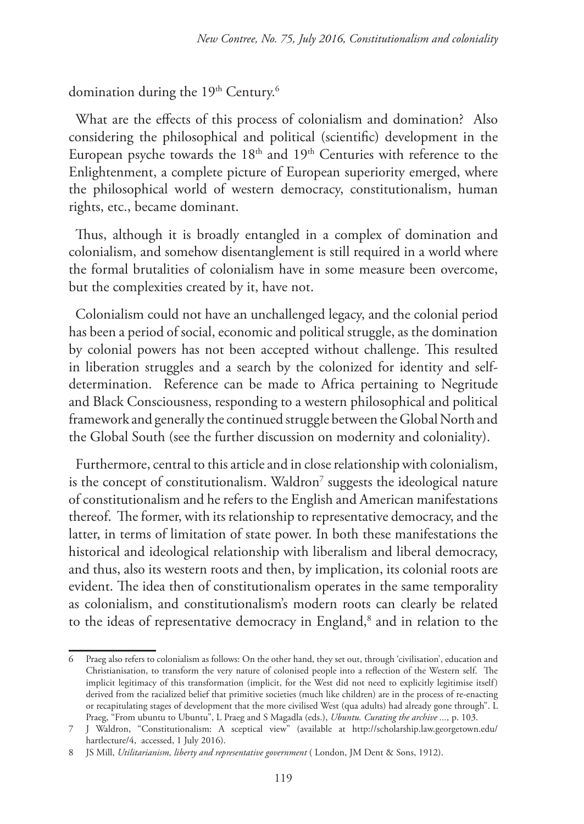domination during the 19th Century.<sup>6</sup>

What are the effects of this process of colonialism and domination? Also considering the philosophical and political (scientific) development in the European psyche towards the 18<sup>th</sup> and 19<sup>th</sup> Centuries with reference to the Enlightenment, a complete picture of European superiority emerged, where the philosophical world of western democracy, constitutionalism, human rights, etc., became dominant.

Thus, although it is broadly entangled in a complex of domination and colonialism, and somehow disentanglement is still required in a world where the formal brutalities of colonialism have in some measure been overcome, but the complexities created by it, have not.

Colonialism could not have an unchallenged legacy, and the colonial period has been a period of social, economic and political struggle, as the domination by colonial powers has not been accepted without challenge. This resulted in liberation struggles and a search by the colonized for identity and selfdetermination. Reference can be made to Africa pertaining to Negritude and Black Consciousness, responding to a western philosophical and political framework and generally the continued struggle between the Global North and the Global South (see the further discussion on modernity and coloniality).

Furthermore, central to this article and in close relationship with colonialism, is the concept of constitutionalism. Waldron $^7$  suggests the ideological nature of constitutionalism and he refers to the English and American manifestations thereof. The former, with its relationship to representative democracy, and the latter, in terms of limitation of state power. In both these manifestations the historical and ideological relationship with liberalism and liberal democracy, and thus, also its western roots and then, by implication, its colonial roots are evident. The idea then of constitutionalism operates in the same temporality as colonialism, and constitutionalism's modern roots can clearly be related to the ideas of representative democracy in England,<sup>8</sup> and in relation to the

<sup>6</sup> Praeg also refers to colonialism as follows: On the other hand, they set out, through 'civilisation', education and Christianisation, to transform the very nature of colonised people into a reflection of the Western self. The implicit legitimacy of this transformation (implicit, for the West did not need to explicitly legitimise itself) derived from the racialized belief that primitive societies (much like children) are in the process of re-enacting or recapitulating stages of development that the more civilised West (qua adults) had already gone through". L Praeg, "From ubuntu to Ubuntu", L Praeg and S Magadla (eds.), *Ubuntu. Curating the archive ...,* p. 103.

<sup>7</sup> J Waldron, "Constitutionalism: A sceptical view" (available at http://scholarship.law.georgetown.edu/ hartlecture/4, accessed, 1 July 2016).

<sup>8</sup> JS Mill, *Utilitarianism, liberty and representative government* ( London, JM Dent & Sons, 1912).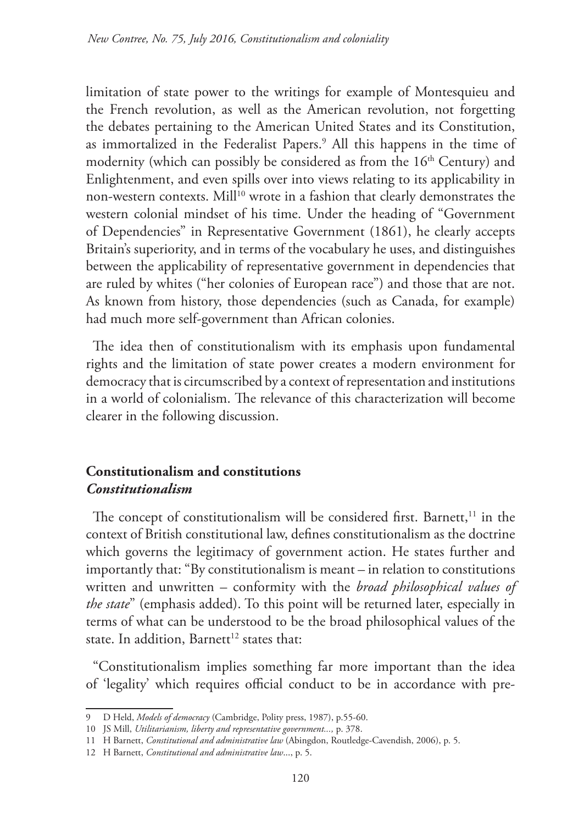limitation of state power to the writings for example of Montesquieu and the French revolution, as well as the American revolution, not forgetting the debates pertaining to the American United States and its Constitution, as immortalized in the Federalist Papers.<sup>9</sup> All this happens in the time of modernity (which can possibly be considered as from the  $16<sup>th</sup>$  Century) and Enlightenment, and even spills over into views relating to its applicability in non-western contexts. Mill<sup>10</sup> wrote in a fashion that clearly demonstrates the western colonial mindset of his time. Under the heading of "Government of Dependencies" in Representative Government (1861), he clearly accepts Britain's superiority, and in terms of the vocabulary he uses, and distinguishes between the applicability of representative government in dependencies that are ruled by whites ("her colonies of European race") and those that are not. As known from history, those dependencies (such as Canada, for example) had much more self-government than African colonies.

The idea then of constitutionalism with its emphasis upon fundamental rights and the limitation of state power creates a modern environment for democracy that is circumscribed by a context of representation and institutions in a world of colonialism. The relevance of this characterization will become clearer in the following discussion.

### **Constitutionalism and constitutions** *Constitutionalism*

The concept of constitutionalism will be considered first. Barnett, $11$  in the context of British constitutional law, defines constitutionalism as the doctrine which governs the legitimacy of government action. He states further and importantly that: "By constitutionalism is meant – in relation to constitutions written and unwritten – conformity with the *broad philosophical values of the state*" (emphasis added). To this point will be returned later, especially in terms of what can be understood to be the broad philosophical values of the state. In addition, Barnett<sup>12</sup> states that:

"Constitutionalism implies something far more important than the idea of 'legality' which requires official conduct to be in accordance with pre-

<sup>9</sup> D Held, *Models of democracy* (Cambridge, Polity press, 1987), p.55-60.

<sup>10</sup> JS Mill, *Utilitarianism, liberty and representative government...,* p. 378.

<sup>11</sup> H Barnett, *Constitutional and administrative law* (Abingdon, Routledge-Cavendish, 2006), p. 5.

<sup>12</sup> H Barnett, *Constitutional and administrative law*..., p. 5.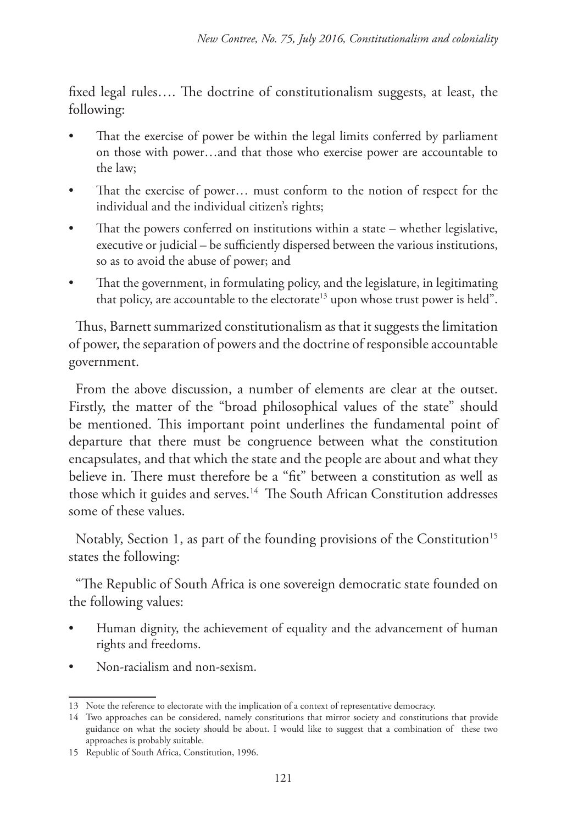fixed legal rules…. The doctrine of constitutionalism suggests, at least, the following:

- That the exercise of power be within the legal limits conferred by parliament on those with power…and that those who exercise power are accountable to the law;
- That the exercise of power... must conform to the notion of respect for the individual and the individual citizen's rights;
- That the powers conferred on institutions within a state whether legislative, executive or judicial – be sufficiently dispersed between the various institutions, so as to avoid the abuse of power; and
- That the government, in formulating policy, and the legislature, in legitimating that policy, are accountable to the electorate<sup>13</sup> upon whose trust power is held".

Thus, Barnett summarized constitutionalism as that it suggests the limitation of power, the separation of powers and the doctrine of responsible accountable government.

From the above discussion, a number of elements are clear at the outset. Firstly, the matter of the "broad philosophical values of the state" should be mentioned. This important point underlines the fundamental point of departure that there must be congruence between what the constitution encapsulates, and that which the state and the people are about and what they believe in. There must therefore be a "fit" between a constitution as well as those which it guides and serves.<sup>14</sup> The South African Constitution addresses some of these values.

Notably, Section 1, as part of the founding provisions of the Constitution<sup>15</sup> states the following:

"The Republic of South Africa is one sovereign democratic state founded on the following values:

- Human dignity, the achievement of equality and the advancement of human rights and freedoms.
- Non-racialism and non-sexism.

<sup>13</sup> Note the reference to electorate with the implication of a context of representative democracy.

<sup>14</sup> Two approaches can be considered, namely constitutions that mirror society and constitutions that provide guidance on what the society should be about. I would like to suggest that a combination of these two approaches is probably suitable.

<sup>15</sup> Republic of South Africa, Constitution, 1996.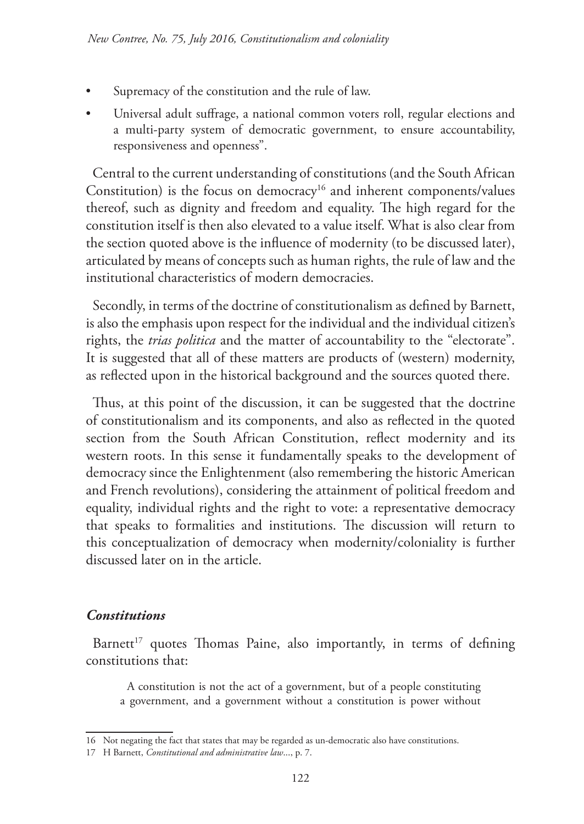- Supremacy of the constitution and the rule of law.
- Universal adult suffrage, a national common voters roll, regular elections and a multi-party system of democratic government, to ensure accountability, responsiveness and openness".

Central to the current understanding of constitutions (and the South African Constitution) is the focus on democracy<sup>16</sup> and inherent components/values thereof, such as dignity and freedom and equality. The high regard for the constitution itself is then also elevated to a value itself. What is also clear from the section quoted above is the influence of modernity (to be discussed later), articulated by means of concepts such as human rights, the rule of law and the institutional characteristics of modern democracies.

Secondly, in terms of the doctrine of constitutionalism as defined by Barnett, is also the emphasis upon respect for the individual and the individual citizen's rights, the *trias politica* and the matter of accountability to the "electorate". It is suggested that all of these matters are products of (western) modernity, as reflected upon in the historical background and the sources quoted there.

Thus, at this point of the discussion, it can be suggested that the doctrine of constitutionalism and its components, and also as reflected in the quoted section from the South African Constitution, reflect modernity and its western roots. In this sense it fundamentally speaks to the development of democracy since the Enlightenment (also remembering the historic American and French revolutions), considering the attainment of political freedom and equality, individual rights and the right to vote: a representative democracy that speaks to formalities and institutions. The discussion will return to this conceptualization of democracy when modernity/coloniality is further discussed later on in the article.

#### *Constitutions*

Barnett<sup>17</sup> quotes Thomas Paine, also importantly, in terms of defining constitutions that:

A constitution is not the act of a government, but of a people constituting a government, and a government without a constitution is power without

<sup>16</sup> Not negating the fact that states that may be regarded as un-democratic also have constitutions.

<sup>17</sup> H Barnett, *Constitutional and administrative law*..., p. 7.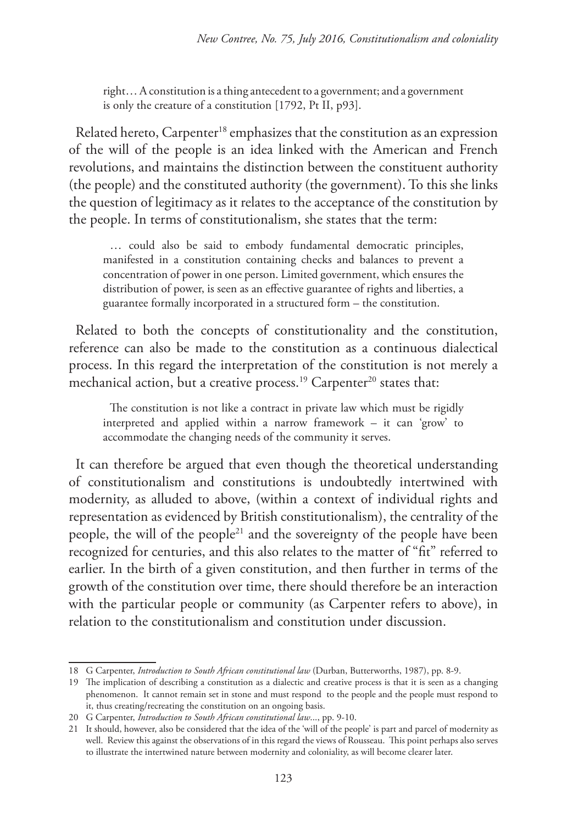right… A constitution is a thing antecedent to a government; and a government is only the creature of a constitution [1792, Pt II, p93].

Related hereto, Carpenter<sup>18</sup> emphasizes that the constitution as an expression of the will of the people is an idea linked with the American and French revolutions, and maintains the distinction between the constituent authority (the people) and the constituted authority (the government). To this she links the question of legitimacy as it relates to the acceptance of the constitution by the people. In terms of constitutionalism, she states that the term:

… could also be said to embody fundamental democratic principles, manifested in a constitution containing checks and balances to prevent a concentration of power in one person. Limited government, which ensures the distribution of power, is seen as an effective guarantee of rights and liberties, a guarantee formally incorporated in a structured form – the constitution.

Related to both the concepts of constitutionality and the constitution, reference can also be made to the constitution as a continuous dialectical process. In this regard the interpretation of the constitution is not merely a mechanical action, but a creative process.<sup>19</sup> Carpenter<sup>20</sup> states that:

The constitution is not like a contract in private law which must be rigidly interpreted and applied within a narrow framework – it can 'grow' to accommodate the changing needs of the community it serves.

It can therefore be argued that even though the theoretical understanding of constitutionalism and constitutions is undoubtedly intertwined with modernity, as alluded to above, (within a context of individual rights and representation as evidenced by British constitutionalism), the centrality of the people, the will of the people21 and the sovereignty of the people have been recognized for centuries, and this also relates to the matter of "fit" referred to earlier. In the birth of a given constitution, and then further in terms of the growth of the constitution over time, there should therefore be an interaction with the particular people or community (as Carpenter refers to above), in relation to the constitutionalism and constitution under discussion.

<sup>18</sup> G Carpenter, *Introduction to South African constitutional law* (Durban, Butterworths, 1987), pp. 8-9.

<sup>19</sup> The implication of describing a constitution as a dialectic and creative process is that it is seen as a changing phenomenon. It cannot remain set in stone and must respond to the people and the people must respond to it, thus creating/recreating the constitution on an ongoing basis.

<sup>20</sup> G Carpenter, *Introduction to South African constitutional law*..., pp. 9-10.

<sup>21</sup> It should, however, also be considered that the idea of the 'will of the people' is part and parcel of modernity as well. Review this against the observations of in this regard the views of Rousseau. This point perhaps also serves to illustrate the intertwined nature between modernity and coloniality, as will become clearer later.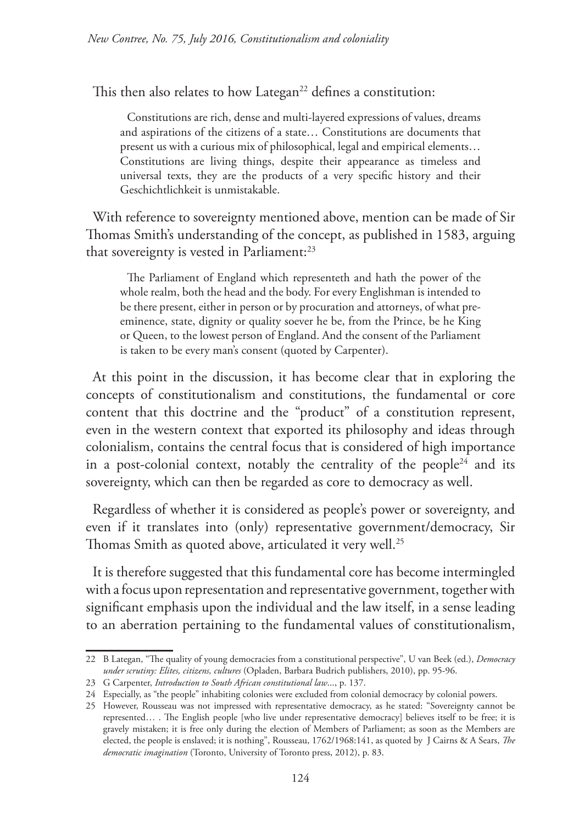This then also relates to how Lategan<sup>22</sup> defines a constitution:

Constitutions are rich, dense and multi-layered expressions of values, dreams and aspirations of the citizens of a state… Constitutions are documents that present us with a curious mix of philosophical, legal and empirical elements… Constitutions are living things, despite their appearance as timeless and universal texts, they are the products of a very specific history and their Geschichtlichkeit is unmistakable.

With reference to sovereignty mentioned above, mention can be made of Sir Thomas Smith's understanding of the concept, as published in 1583, arguing that sovereignty is vested in Parliament:<sup>23</sup>

The Parliament of England which representeth and hath the power of the whole realm, both the head and the body. For every Englishman is intended to be there present, either in person or by procuration and attorneys, of what preeminence, state, dignity or quality soever he be, from the Prince, be he King or Queen, to the lowest person of England. And the consent of the Parliament is taken to be every man's consent (quoted by Carpenter).

At this point in the discussion, it has become clear that in exploring the concepts of constitutionalism and constitutions, the fundamental or core content that this doctrine and the "product" of a constitution represent, even in the western context that exported its philosophy and ideas through colonialism, contains the central focus that is considered of high importance in a post-colonial context, notably the centrality of the people<sup>24</sup> and its sovereignty, which can then be regarded as core to democracy as well.

Regardless of whether it is considered as people's power or sovereignty, and even if it translates into (only) representative government/democracy, Sir Thomas Smith as quoted above, articulated it very well.<sup>25</sup>

It is therefore suggested that this fundamental core has become intermingled with a focus upon representation and representative government, together with significant emphasis upon the individual and the law itself, in a sense leading to an aberration pertaining to the fundamental values of constitutionalism,

<sup>22</sup> B Lategan, "The quality of young democracies from a constitutional perspective", U van Beek (ed.), *Democracy under scrutiny: Elites, citizens, cultures* (Opladen, Barbara Budrich publishers, 2010), pp. 95-96.

<sup>23</sup> G Carpenter, *Introduction to South African constitutional law*..., p. 137.

<sup>24</sup> Especially, as "the people" inhabiting colonies were excluded from colonial democracy by colonial powers.

<sup>25</sup> However, Rousseau was not impressed with representative democracy, as he stated: "Sovereignty cannot be represented… . The English people [who live under representative democracy] believes itself to be free; it is gravely mistaken; it is free only during the election of Members of Parliament; as soon as the Members are elected, the people is enslaved; it is nothing", Rousseau, 1762/1968:141, as quoted by J Cairns & A Sears, *The democratic imagination* (Toronto, University of Toronto press, 2012), p. 83.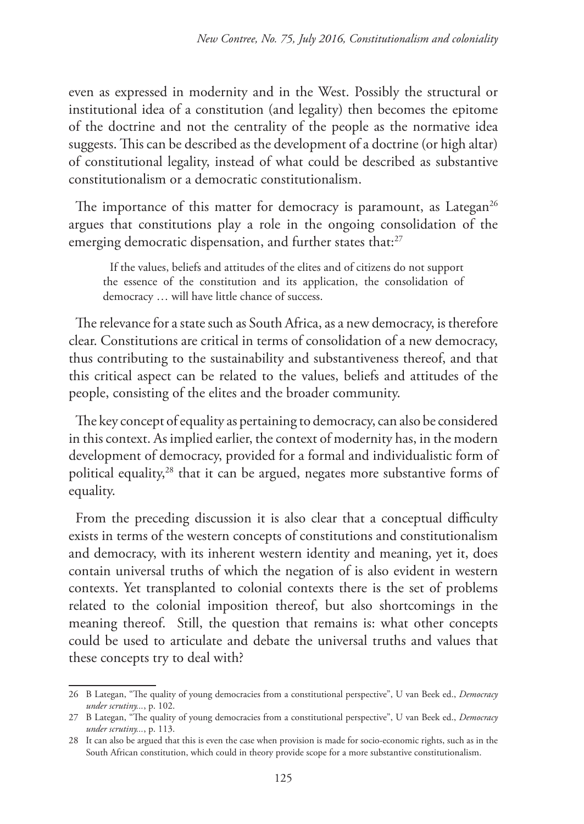even as expressed in modernity and in the West. Possibly the structural or institutional idea of a constitution (and legality) then becomes the epitome of the doctrine and not the centrality of the people as the normative idea suggests. This can be described as the development of a doctrine (or high altar) of constitutional legality, instead of what could be described as substantive constitutionalism or a democratic constitutionalism.

The importance of this matter for democracy is paramount, as Lategan<sup>26</sup> argues that constitutions play a role in the ongoing consolidation of the emerging democratic dispensation, and further states that:<sup>27</sup>

If the values, beliefs and attitudes of the elites and of citizens do not support the essence of the constitution and its application, the consolidation of democracy … will have little chance of success.

The relevance for a state such as South Africa, as a new democracy, is therefore clear. Constitutions are critical in terms of consolidation of a new democracy, thus contributing to the sustainability and substantiveness thereof, and that this critical aspect can be related to the values, beliefs and attitudes of the people, consisting of the elites and the broader community.

The key concept of equality as pertaining to democracy, can also be considered in this context. As implied earlier, the context of modernity has, in the modern development of democracy, provided for a formal and individualistic form of political equality,28 that it can be argued, negates more substantive forms of equality.

From the preceding discussion it is also clear that a conceptual difficulty exists in terms of the western concepts of constitutions and constitutionalism and democracy, with its inherent western identity and meaning, yet it, does contain universal truths of which the negation of is also evident in western contexts. Yet transplanted to colonial contexts there is the set of problems related to the colonial imposition thereof, but also shortcomings in the meaning thereof. Still, the question that remains is: what other concepts could be used to articulate and debate the universal truths and values that these concepts try to deal with?

<sup>26</sup> B Lategan, "The quality of young democracies from a constitutional perspective", U van Beek ed., *Democracy under scrutiny...*, p. 102.

<sup>27</sup> B Lategan, "The quality of young democracies from a constitutional perspective", U van Beek ed., *Democracy under scrutiny...*, p. 113.

<sup>28</sup> It can also be argued that this is even the case when provision is made for socio-economic rights, such as in the South African constitution, which could in theory provide scope for a more substantive constitutionalism.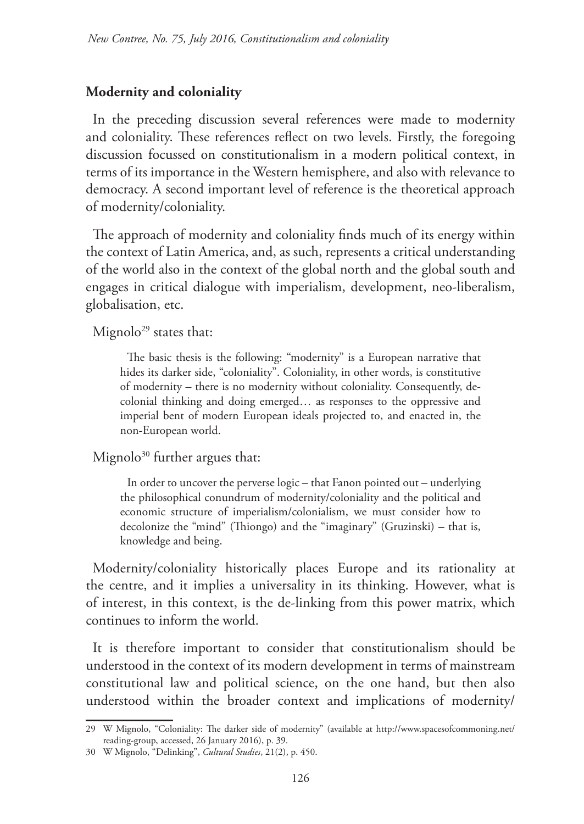#### **Modernity and coloniality**

In the preceding discussion several references were made to modernity and coloniality. These references reflect on two levels. Firstly, the foregoing discussion focussed on constitutionalism in a modern political context, in terms of its importance in the Western hemisphere, and also with relevance to democracy. A second important level of reference is the theoretical approach of modernity/coloniality.

The approach of modernity and coloniality finds much of its energy within the context of Latin America, and, as such, represents a critical understanding of the world also in the context of the global north and the global south and engages in critical dialogue with imperialism, development, neo-liberalism, globalisation, etc.

Mignolo<sup>29</sup> states that:

The basic thesis is the following: "modernity" is a European narrative that hides its darker side, "coloniality". Coloniality, in other words, is constitutive of modernity – there is no modernity without coloniality. Consequently, decolonial thinking and doing emerged… as responses to the oppressive and imperial bent of modern European ideals projected to, and enacted in, the non-European world.

Mignolo<sup>30</sup> further argues that:

In order to uncover the perverse logic – that Fanon pointed out – underlying the philosophical conundrum of modernity/coloniality and the political and economic structure of imperialism/colonialism, we must consider how to decolonize the "mind" (Thiongo) and the "imaginary" (Gruzinski) – that is, knowledge and being.

Modernity/coloniality historically places Europe and its rationality at the centre, and it implies a universality in its thinking. However, what is of interest, in this context, is the de-linking from this power matrix, which continues to inform the world.

It is therefore important to consider that constitutionalism should be understood in the context of its modern development in terms of mainstream constitutional law and political science, on the one hand, but then also understood within the broader context and implications of modernity/

<sup>29</sup> W Mignolo, "Coloniality: The darker side of modernity" (available at http://www.spacesofcommoning.net/ reading-group, accessed, 26 January 2016), p. 39.

<sup>30</sup> W Mignolo, "Delinking", *Cultural Studies*, 21(2), p. 450.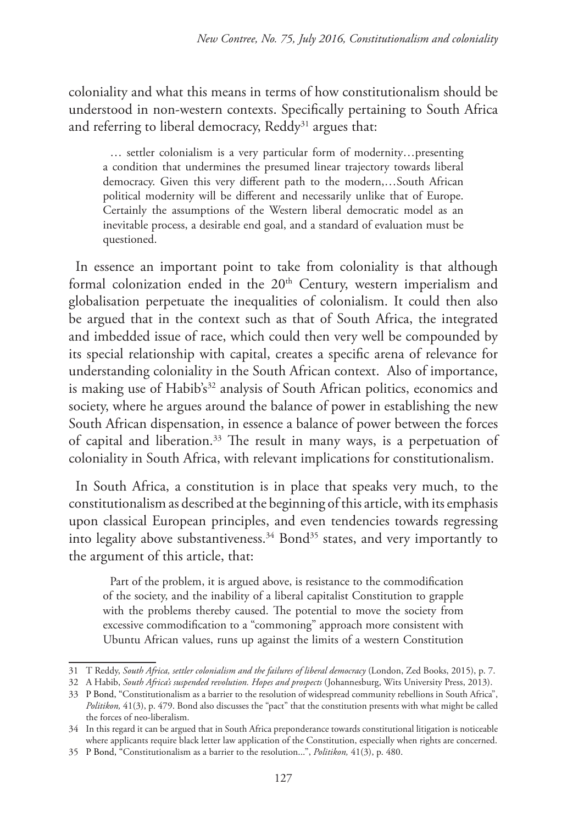coloniality and what this means in terms of how constitutionalism should be understood in non-western contexts. Specifically pertaining to South Africa and referring to liberal democracy, Reddy<sup>31</sup> argues that:

… settler colonialism is a very particular form of modernity…presenting a condition that undermines the presumed linear trajectory towards liberal democracy. Given this very different path to the modern,…South African political modernity will be different and necessarily unlike that of Europe. Certainly the assumptions of the Western liberal democratic model as an inevitable process, a desirable end goal, and a standard of evaluation must be questioned.

In essence an important point to take from coloniality is that although formal colonization ended in the  $20<sup>th</sup>$  Century, western imperialism and globalisation perpetuate the inequalities of colonialism. It could then also be argued that in the context such as that of South Africa, the integrated and imbedded issue of race, which could then very well be compounded by its special relationship with capital, creates a specific arena of relevance for understanding coloniality in the South African context. Also of importance, is making use of Habib's<sup>32</sup> analysis of South African politics, economics and society, where he argues around the balance of power in establishing the new South African dispensation, in essence a balance of power between the forces of capital and liberation.33 The result in many ways, is a perpetuation of coloniality in South Africa, with relevant implications for constitutionalism.

In South Africa, a constitution is in place that speaks very much, to the constitutionalism as described at the beginning of this article, with its emphasis upon classical European principles, and even tendencies towards regressing into legality above substantiveness.<sup>34</sup> Bond<sup>35</sup> states, and very importantly to the argument of this article, that:

Part of the problem, it is argued above, is resistance to the commodification of the society, and the inability of a liberal capitalist Constitution to grapple with the problems thereby caused. The potential to move the society from excessive commodification to a "commoning" approach more consistent with Ubuntu African values, runs up against the limits of a western Constitution

<sup>31</sup> T Reddy, *South Africa, settler colonialism and the failures of liberal democracy* (London, Zed Books, 2015), p. 7.

<sup>32</sup> A Habib, *South Africa's suspended revolution. Hopes and prospects* (Johannesburg, Wits University Press, 2013).

<sup>33</sup> P Bond, "Constitutionalism as a barrier to the resolution of widespread community rebellions in South Africa", *Politikon,* 41(3), p. 479. Bond also discusses the "pact" that the constitution presents with what might be called the forces of neo-liberalism.

<sup>34</sup> In this regard it can be argued that in South Africa preponderance towards constitutional litigation is noticeable where applicants require black letter law application of the Constitution, especially when rights are concerned.

<sup>35</sup> P Bond, "Constitutionalism as a barrier to the resolution...", *Politikon,* 41(3), p. 480.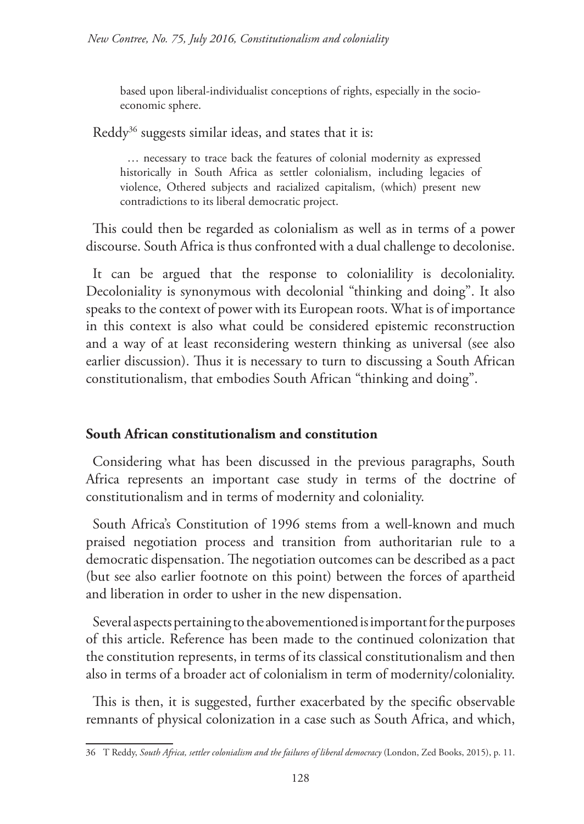based upon liberal-individualist conceptions of rights, especially in the socioeconomic sphere.

Reddy<sup>36</sup> suggests similar ideas, and states that it is:

… necessary to trace back the features of colonial modernity as expressed historically in South Africa as settler colonialism, including legacies of violence, Othered subjects and racialized capitalism, (which) present new contradictions to its liberal democratic project.

This could then be regarded as colonialism as well as in terms of a power discourse. South Africa is thus confronted with a dual challenge to decolonise.

It can be argued that the response to colonialility is decoloniality. Decoloniality is synonymous with decolonial "thinking and doing". It also speaks to the context of power with its European roots. What is of importance in this context is also what could be considered epistemic reconstruction and a way of at least reconsidering western thinking as universal (see also earlier discussion). Thus it is necessary to turn to discussing a South African constitutionalism, that embodies South African "thinking and doing".

### **South African constitutionalism and constitution**

Considering what has been discussed in the previous paragraphs, South Africa represents an important case study in terms of the doctrine of constitutionalism and in terms of modernity and coloniality.

South Africa's Constitution of 1996 stems from a well-known and much praised negotiation process and transition from authoritarian rule to a democratic dispensation. The negotiation outcomes can be described as a pact (but see also earlier footnote on this point) between the forces of apartheid and liberation in order to usher in the new dispensation.

Several aspects pertaining to the abovementioned is important for the purposes of this article. Reference has been made to the continued colonization that the constitution represents, in terms of its classical constitutionalism and then also in terms of a broader act of colonialism in term of modernity/coloniality.

This is then, it is suggested, further exacerbated by the specific observable remnants of physical colonization in a case such as South Africa, and which,

<sup>36</sup> T Reddy, *South Africa, settler colonialism and the failures of liberal democracy* (London, Zed Books, 2015), p. 11.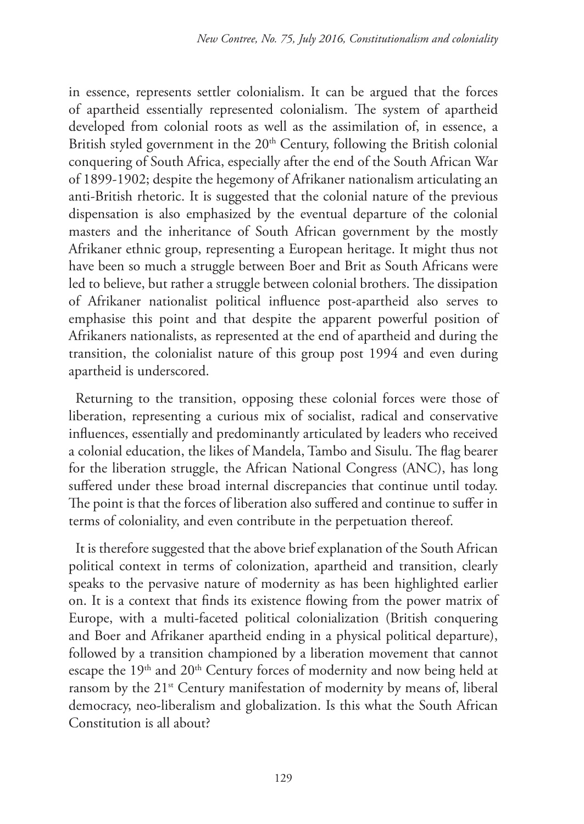in essence, represents settler colonialism. It can be argued that the forces of apartheid essentially represented colonialism. The system of apartheid developed from colonial roots as well as the assimilation of, in essence, a British styled government in the 20<sup>th</sup> Century, following the British colonial conquering of South Africa, especially after the end of the South African War of 1899-1902; despite the hegemony of Afrikaner nationalism articulating an anti-British rhetoric. It is suggested that the colonial nature of the previous dispensation is also emphasized by the eventual departure of the colonial masters and the inheritance of South African government by the mostly Afrikaner ethnic group, representing a European heritage. It might thus not have been so much a struggle between Boer and Brit as South Africans were led to believe, but rather a struggle between colonial brothers. The dissipation of Afrikaner nationalist political influence post-apartheid also serves to emphasise this point and that despite the apparent powerful position of Afrikaners nationalists, as represented at the end of apartheid and during the transition, the colonialist nature of this group post 1994 and even during apartheid is underscored.

Returning to the transition, opposing these colonial forces were those of liberation, representing a curious mix of socialist, radical and conservative influences, essentially and predominantly articulated by leaders who received a colonial education, the likes of Mandela, Tambo and Sisulu. The flag bearer for the liberation struggle, the African National Congress (ANC), has long suffered under these broad internal discrepancies that continue until today. The point is that the forces of liberation also suffered and continue to suffer in terms of coloniality, and even contribute in the perpetuation thereof.

It is therefore suggested that the above brief explanation of the South African political context in terms of colonization, apartheid and transition, clearly speaks to the pervasive nature of modernity as has been highlighted earlier on. It is a context that finds its existence flowing from the power matrix of Europe, with a multi-faceted political colonialization (British conquering and Boer and Afrikaner apartheid ending in a physical political departure), followed by a transition championed by a liberation movement that cannot escape the 19<sup>th</sup> and 20<sup>th</sup> Century forces of modernity and now being held at ransom by the 21<sup>st</sup> Century manifestation of modernity by means of, liberal democracy, neo-liberalism and globalization. Is this what the South African Constitution is all about?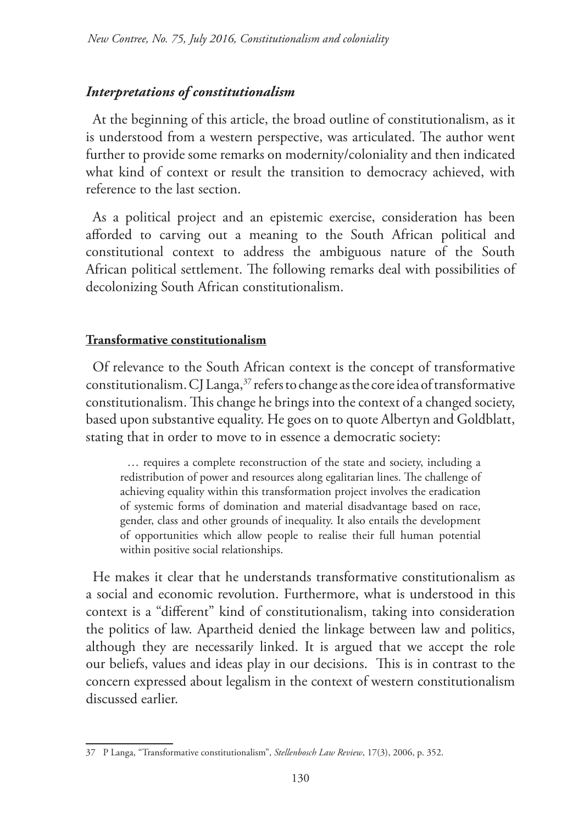### *Interpretations of constitutionalism*

At the beginning of this article, the broad outline of constitutionalism, as it is understood from a western perspective, was articulated. The author went further to provide some remarks on modernity/coloniality and then indicated what kind of context or result the transition to democracy achieved, with reference to the last section.

As a political project and an epistemic exercise, consideration has been afforded to carving out a meaning to the South African political and constitutional context to address the ambiguous nature of the South African political settlement. The following remarks deal with possibilities of decolonizing South African constitutionalism.

### **Transformative constitutionalism**

Of relevance to the South African context is the concept of transformative constitutionalism. CJ Langa, $37$  refers to change as the core idea of transformative constitutionalism. This change he brings into the context of a changed society, based upon substantive equality. He goes on to quote Albertyn and Goldblatt, stating that in order to move to in essence a democratic society:

… requires a complete reconstruction of the state and society, including a redistribution of power and resources along egalitarian lines. The challenge of achieving equality within this transformation project involves the eradication of systemic forms of domination and material disadvantage based on race, gender, class and other grounds of inequality. It also entails the development of opportunities which allow people to realise their full human potential within positive social relationships.

He makes it clear that he understands transformative constitutionalism as a social and economic revolution. Furthermore, what is understood in this context is a "different" kind of constitutionalism, taking into consideration the politics of law. Apartheid denied the linkage between law and politics, although they are necessarily linked. It is argued that we accept the role our beliefs, values and ideas play in our decisions. This is in contrast to the concern expressed about legalism in the context of western constitutionalism discussed earlier.

<sup>37</sup> P Langa, "Transformative constitutionalism", *Stellenbosch Law Review*, 17(3), 2006, p. 352.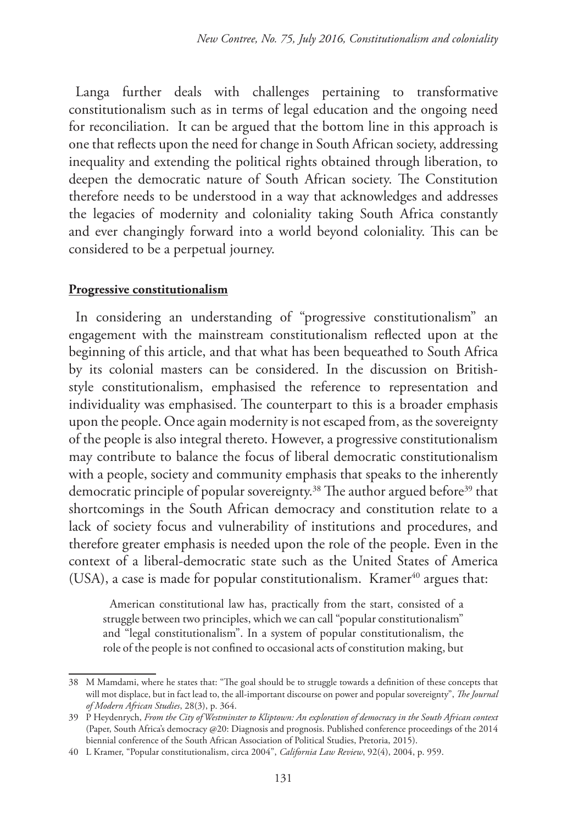Langa further deals with challenges pertaining to transformative constitutionalism such as in terms of legal education and the ongoing need for reconciliation. It can be argued that the bottom line in this approach is one that reflects upon the need for change in South African society, addressing inequality and extending the political rights obtained through liberation, to deepen the democratic nature of South African society. The Constitution therefore needs to be understood in a way that acknowledges and addresses the legacies of modernity and coloniality taking South Africa constantly and ever changingly forward into a world beyond coloniality. This can be considered to be a perpetual journey.

#### **Progressive constitutionalism**

In considering an understanding of "progressive constitutionalism" an engagement with the mainstream constitutionalism reflected upon at the beginning of this article, and that what has been bequeathed to South Africa by its colonial masters can be considered. In the discussion on Britishstyle constitutionalism, emphasised the reference to representation and individuality was emphasised. The counterpart to this is a broader emphasis upon the people. Once again modernity is not escaped from, as the sovereignty of the people is also integral thereto. However, a progressive constitutionalism may contribute to balance the focus of liberal democratic constitutionalism with a people, society and community emphasis that speaks to the inherently democratic principle of popular sovereignty.<sup>38</sup> The author argued before<sup>39</sup> that shortcomings in the South African democracy and constitution relate to a lack of society focus and vulnerability of institutions and procedures, and therefore greater emphasis is needed upon the role of the people. Even in the context of a liberal-democratic state such as the United States of America (USA), a case is made for popular constitutionalism. Kramer $40$  argues that:

American constitutional law has, practically from the start, consisted of a struggle between two principles, which we can call "popular constitutionalism" and "legal constitutionalism". In a system of popular constitutionalism, the role of the people is not confined to occasional acts of constitution making, but

<sup>38</sup> M Mamdami, where he states that: "The goal should be to struggle towards a definition of these concepts that will mot displace, but in fact lead to, the all-important discourse on power and popular sovereignty", *The Journal of Modern African Studies*, 28(3), p. 364.

<sup>39</sup> P Heydenrych, *From the City of Westminster to Kliptown: An exploration of democracy in the South African context* (Paper, South Africa's democracy @20: Diagnosis and prognosis. Published conference proceedings of the 2014 biennial conference of the South African Association of Political Studies, Pretoria, 2015).

<sup>40</sup> L Kramer, "Popular constitutionalism, circa 2004", *California Law Review*, 92(4), 2004, p. 959.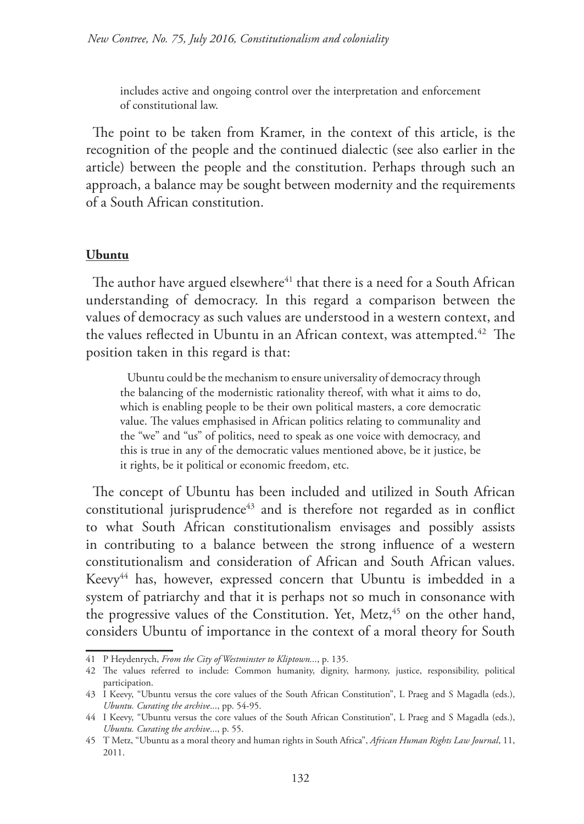includes active and ongoing control over the interpretation and enforcement of constitutional law.

The point to be taken from Kramer, in the context of this article, is the recognition of the people and the continued dialectic (see also earlier in the article) between the people and the constitution. Perhaps through such an approach, a balance may be sought between modernity and the requirements of a South African constitution.

#### **Ubuntu**

The author have argued elsewhere<sup>41</sup> that there is a need for a South African understanding of democracy. In this regard a comparison between the values of democracy as such values are understood in a western context, and the values reflected in Ubuntu in an African context, was attempted.<sup>42</sup> The position taken in this regard is that:

Ubuntu could be the mechanism to ensure universality of democracy through the balancing of the modernistic rationality thereof, with what it aims to do, which is enabling people to be their own political masters, a core democratic value. The values emphasised in African politics relating to communality and the "we" and "us" of politics, need to speak as one voice with democracy, and this is true in any of the democratic values mentioned above, be it justice, be it rights, be it political or economic freedom, etc.

The concept of Ubuntu has been included and utilized in South African constitutional jurisprudence<sup>43</sup> and is therefore not regarded as in conflict to what South African constitutionalism envisages and possibly assists in contributing to a balance between the strong influence of a western constitutionalism and consideration of African and South African values. Keevy<sup>44</sup> has, however, expressed concern that Ubuntu is imbedded in a system of patriarchy and that it is perhaps not so much in consonance with the progressive values of the Constitution. Yet, Metz,<sup>45</sup> on the other hand, considers Ubuntu of importance in the context of a moral theory for South

<sup>41</sup> P Heydenrych, *From the City of Westminster to Kliptown...*, p. 135.

<sup>42</sup> The values referred to include: Common humanity, dignity, harmony, justice, responsibility, political participation.

<sup>43</sup> I Keevy, "Ubuntu versus the core values of the South African Constitution", L Praeg and S Magadla (eds.), *Ubuntu. Curating the archive*..., pp. 54-95.

<sup>44</sup> I Keevy, "Ubuntu versus the core values of the South African Constitution", L Praeg and S Magadla (eds.), *Ubuntu. Curating the archive*..., p. 55.

<sup>45</sup> T Metz, "Ubuntu as a moral theory and human rights in South Africa", *African Human Rights Law Journal*, 11, 2011.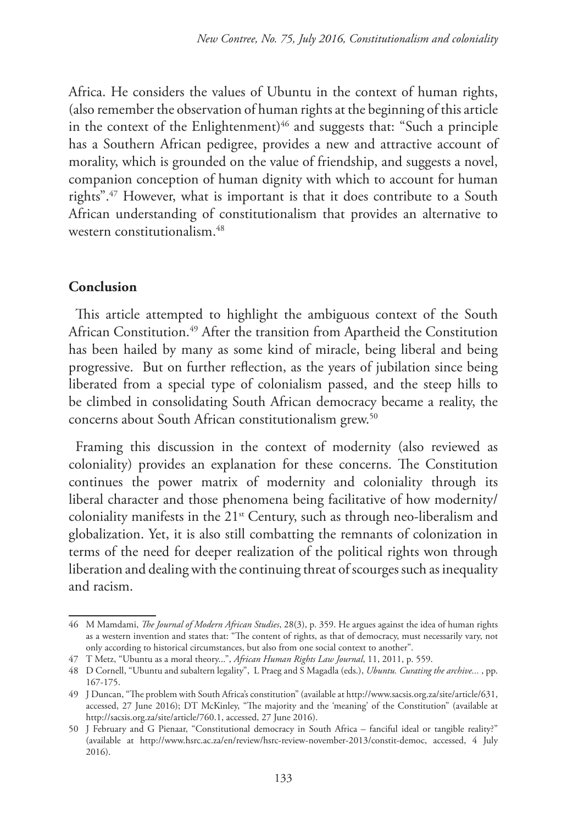Africa. He considers the values of Ubuntu in the context of human rights, (also remember the observation of human rights at the beginning of this article in the context of the Enlightenment) $46$  and suggests that: "Such a principle has a Southern African pedigree, provides a new and attractive account of morality, which is grounded on the value of friendship, and suggests a novel, companion conception of human dignity with which to account for human rights".47 However, what is important is that it does contribute to a South African understanding of constitutionalism that provides an alternative to western constitutionalism.48

#### **Conclusion**

This article attempted to highlight the ambiguous context of the South African Constitution.49 After the transition from Apartheid the Constitution has been hailed by many as some kind of miracle, being liberal and being progressive. But on further reflection, as the years of jubilation since being liberated from a special type of colonialism passed, and the steep hills to be climbed in consolidating South African democracy became a reality, the concerns about South African constitutionalism grew.<sup>50</sup>

Framing this discussion in the context of modernity (also reviewed as coloniality) provides an explanation for these concerns. The Constitution continues the power matrix of modernity and coloniality through its liberal character and those phenomena being facilitative of how modernity/ coloniality manifests in the 21st Century, such as through neo-liberalism and globalization. Yet, it is also still combatting the remnants of colonization in terms of the need for deeper realization of the political rights won through liberation and dealing with the continuing threat of scourges such as inequality and racism.

<sup>46</sup> M Mamdami, *The Journal of Modern African Studies*, 28(3), p. 359. He argues against the idea of human rights as a western invention and states that: "The content of rights, as that of democracy, must necessarily vary, not only according to historical circumstances, but also from one social context to another".

<sup>47</sup> T Metz, "Ubuntu as a moral theory...", *African Human Rights Law Journal*, 11, 2011, p. 559.

<sup>48</sup> D Cornell, "Ubuntu and subaltern legality", L Praeg and S Magadla (eds.), *Ubuntu. Curating the archive...* , pp. 167-175.

<sup>49</sup> J Duncan, "The problem with South Africa's constitution" (available at http://www.sacsis.org.za/site/article/631, accessed, 27 June 2016); DT McKinley, "The majority and the 'meaning' of the Constitution" (available at http://sacsis.org.za/site/article/760.1, accessed, 27 June 2016).

<sup>50</sup> J February and G Pienaar, "Constitutional democracy in South Africa – fanciful ideal or tangible reality?" (available at http://www.hsrc.ac.za/en/review/hsrc-review-november-2013/constit-democ, accessed, 4 July 2016).